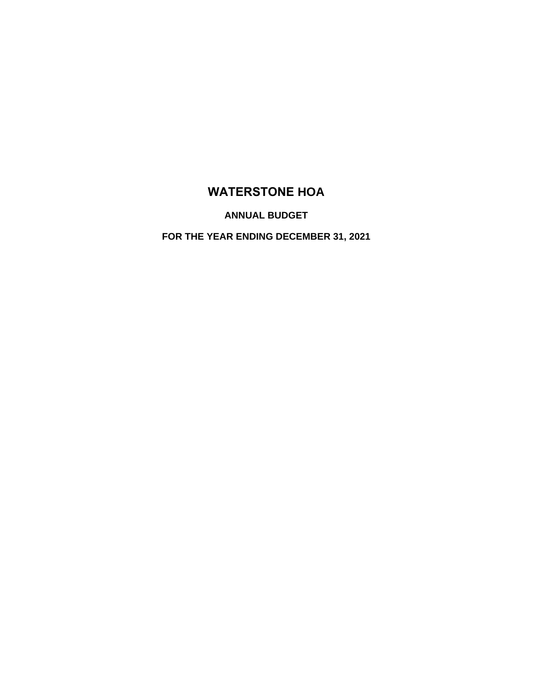# **WATERSTONE HOA**

**ANNUAL BUDGET**

**FOR THE YEAR ENDING DECEMBER 31, 2021**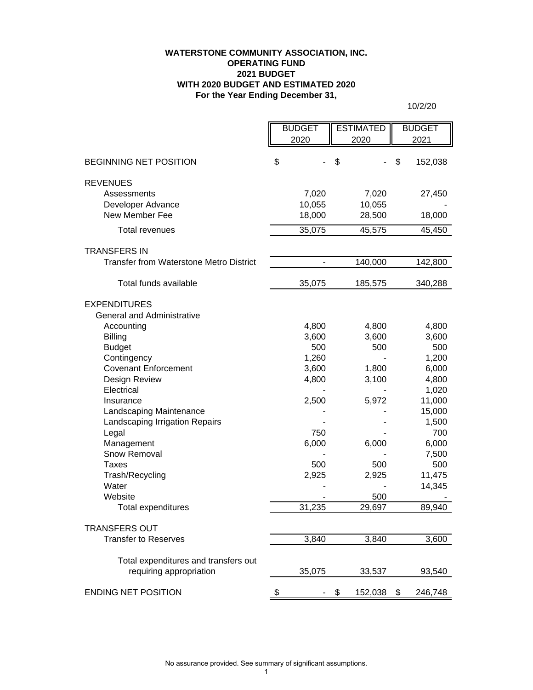# **For the Year Ending December 31, WATERSTONE COMMUNITY ASSOCIATION, INC. OPERATING FUND 2021 BUDGET WITH 2020 BUDGET AND ESTIMATED 2020**

10/2/20

|                                                                 | <b>BUDGET</b><br>2020 | <b>ESTIMATED</b><br>2020 | <b>BUDGET</b><br>2021 |
|-----------------------------------------------------------------|-----------------------|--------------------------|-----------------------|
|                                                                 |                       |                          |                       |
| <b>BEGINNING NET POSITION</b>                                   | \$                    | \$                       | \$<br>152,038         |
| <b>REVENUES</b>                                                 |                       |                          |                       |
| Assessments                                                     | 7,020                 | 7,020                    | 27,450                |
| Developer Advance                                               | 10,055                | 10,055                   |                       |
| New Member Fee                                                  | 18,000                | 28,500                   | 18,000                |
| <b>Total revenues</b>                                           | 35,075                | 45,575                   | 45,450                |
| <b>TRANSFERS IN</b>                                             |                       |                          |                       |
| <b>Transfer from Waterstone Metro District</b>                  |                       | 140,000                  | 142,800               |
|                                                                 |                       |                          |                       |
| Total funds available                                           | 35,075                | 185,575                  | 340,288               |
| <b>EXPENDITURES</b>                                             |                       |                          |                       |
| <b>General and Administrative</b>                               |                       |                          |                       |
| Accounting                                                      | 4,800                 | 4,800                    | 4,800                 |
| <b>Billing</b>                                                  | 3,600                 | 3,600                    | 3,600                 |
| <b>Budget</b>                                                   | 500                   | 500                      | 500                   |
| Contingency                                                     | 1,260                 |                          | 1,200                 |
| <b>Covenant Enforcement</b>                                     | 3,600                 | 1,800                    | 6,000                 |
| Design Review                                                   | 4,800                 | 3,100                    | 4,800                 |
| Electrical                                                      |                       |                          | 1,020                 |
| Insurance                                                       | 2,500                 | 5,972                    | 11,000                |
| Landscaping Maintenance                                         |                       |                          | 15,000                |
| Landscaping Irrigation Repairs                                  |                       |                          | 1,500                 |
| Legal                                                           | 750                   |                          | 700                   |
| Management                                                      | 6,000                 | 6,000                    | 6,000                 |
| Snow Removal<br>Taxes                                           | 500                   | 500                      | 7,500<br>500          |
| Trash/Recycling                                                 | 2,925                 | 2,925                    | 11,475                |
| Water                                                           |                       |                          | 14,345                |
| Website                                                         |                       | 500                      |                       |
| <b>Total expenditures</b>                                       | 31,235                | 29,697                   | 89,940                |
|                                                                 |                       |                          |                       |
| <b>TRANSFERS OUT</b>                                            |                       |                          |                       |
| <b>Transfer to Reserves</b>                                     | 3,840                 | 3,840                    | 3,600                 |
|                                                                 |                       |                          |                       |
| Total expenditures and transfers out<br>requiring appropriation | 35,075                | 33,537                   | 93,540                |
|                                                                 |                       |                          |                       |
| <b>ENDING NET POSITION</b>                                      | \$                    | 152,038<br>S.            | \$<br>246,748         |